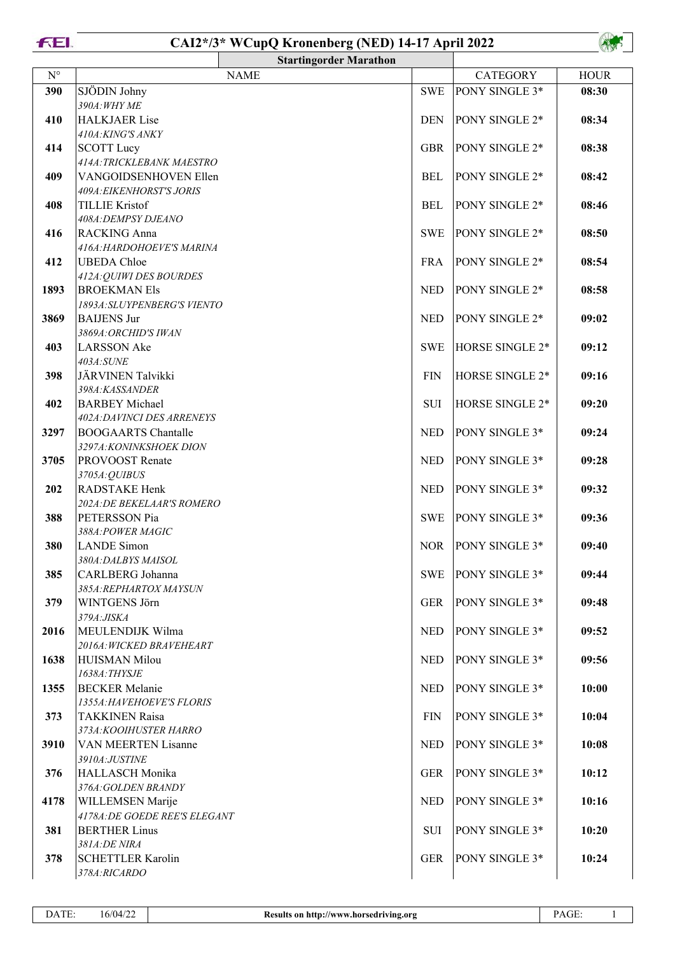

## **CAI2\*/3\* WCupQ Kronenberg (NED) 14-17 April 2022**



|             |                                                   | <b>Startingorder Marathon</b> |                      |                 |             |
|-------------|---------------------------------------------------|-------------------------------|----------------------|-----------------|-------------|
| $N^{\circ}$ |                                                   | <b>NAME</b>                   |                      | <b>CATEGORY</b> | <b>HOUR</b> |
| 390         | SJÖDIN Johny                                      |                               | <b>SWE</b>           | PONY SINGLE 3*  | 08:30       |
|             | 390A: WHY ME                                      |                               |                      |                 |             |
| 410         | <b>HALKJAER Lise</b>                              |                               | <b>DEN</b>           | PONY SINGLE 2*  | 08:34       |
|             | 410A: KING'S ANKY                                 |                               |                      |                 |             |
| 414         | <b>SCOTT Lucy</b>                                 |                               | <b>GBR</b>           | PONY SINGLE 2*  | 08:38       |
|             | 414A: TRICKLEBANK MAESTRO                         |                               |                      |                 |             |
| 409         | VANGOIDSENHOVEN Ellen                             |                               | $\operatorname{BEL}$ | PONY SINGLE 2*  | 08:42       |
| 408         | 409A: EIKENHORST'S JORIS<br><b>TILLIE Kristof</b> |                               | <b>BEL</b>           | PONY SINGLE 2*  | 08:46       |
|             | 408A: DEMPSY DJEANO                               |                               |                      |                 |             |
| 416         | <b>RACKING Anna</b>                               |                               | <b>SWE</b>           | PONY SINGLE 2*  | 08:50       |
|             | 416A: HARDOHOEVE'S MARINA                         |                               |                      |                 |             |
| 412         | <b>UBEDA</b> Chloe                                |                               | <b>FRA</b>           | PONY SINGLE 2*  | 08:54       |
|             | 412A: QUIWI DES BOURDES                           |                               |                      |                 |             |
| 1893        | <b>BROEKMAN Els</b>                               |                               | <b>NED</b>           | PONY SINGLE 2*  | 08:58       |
|             | 1893A: SLUYPENBERG'S VIENTO                       |                               |                      |                 |             |
| 3869        | <b>BAIJENS Jur</b>                                |                               | <b>NED</b>           | PONY SINGLE 2*  | 09:02       |
|             | 3869A: ORCHID'S IWAN                              |                               |                      |                 |             |
| 403         | <b>LARSSON</b> Ake                                |                               | <b>SWE</b>           | HORSE SINGLE 2* | 09:12       |
|             | 403A:SUNE<br>JÄRVINEN Talvikki                    |                               | <b>FIN</b>           | HORSE SINGLE 2* |             |
| 398         | 398A: KASSANDER                                   |                               |                      |                 | 09:16       |
| 402         | <b>BARBEY</b> Michael                             |                               | SUI                  | HORSE SINGLE 2* | 09:20       |
|             | 402A: DAVINCI DES ARRENEYS                        |                               |                      |                 |             |
| 3297        | <b>BOOGAARTS Chantalle</b>                        |                               | <b>NED</b>           | PONY SINGLE 3*  | 09:24       |
|             | 3297A: KONINKSHOEK DION                           |                               |                      |                 |             |
| 3705        | PROVOOST Renate                                   |                               | <b>NED</b>           | PONY SINGLE 3*  | 09:28       |
|             | 3705A: QUIBUS                                     |                               |                      |                 |             |
| 202         | RADSTAKE Henk                                     |                               | <b>NED</b>           | PONY SINGLE 3*  | 09:32       |
|             | 202A: DE BEKELAAR'S ROMERO                        |                               |                      | PONY SINGLE 3*  |             |
| 388         | PETERSSON Pia<br>388A: POWER MAGIC                |                               | <b>SWE</b>           |                 | 09:36       |
| 380         | <b>LANDE</b> Simon                                |                               | <b>NOR</b>           | PONY SINGLE 3*  | 09:40       |
|             | 380A: DALBYS MAISOL                               |                               |                      |                 |             |
| 385         | CARLBERG Johanna                                  |                               | <b>SWE</b>           | PONY SINGLE 3*  | 09:44       |
|             | 385A:REPHARTOX MAYSUN                             |                               |                      |                 |             |
| 379         | WINTGENS Jörn                                     |                               | <b>GER</b>           | PONY SINGLE 3*  | 09:48       |
|             | 379A: JISKA                                       |                               |                      |                 |             |
| 2016        | MEULENDIJK Wilma                                  |                               | <b>NED</b>           | PONY SINGLE 3*  | 09:52       |
| 1638        | 2016A: WICKED BRAVEHEART<br><b>HUISMAN Milou</b>  |                               | <b>NED</b>           | PONY SINGLE 3*  | 09:56       |
|             | 1638A: THYSJE                                     |                               |                      |                 |             |
| 1355        | <b>BECKER</b> Melanie                             |                               | <b>NED</b>           | PONY SINGLE 3*  | 10:00       |
|             | 1355A: HAVEHOEVE'S FLORIS                         |                               |                      |                 |             |
| 373         | <b>TAKKINEN Raisa</b>                             |                               | <b>FIN</b>           | PONY SINGLE 3*  | 10:04       |
|             | 373A: KOOIHUSTER HARRO                            |                               |                      |                 |             |
| 3910        | VAN MEERTEN Lisanne                               |                               | <b>NED</b>           | PONY SINGLE 3*  | 10:08       |
|             | 3910A:JUSTINE                                     |                               |                      |                 |             |
| 376         | HALLASCH Monika                                   |                               | <b>GER</b>           | PONY SINGLE 3*  | 10:12       |
|             | 376A: GOLDEN BRANDY                               |                               | <b>NED</b>           | PONY SINGLE 3*  | 10:16       |
| 4178        | WILLEMSEN Marije<br>4178A: DE GOEDE REE'S ELEGANT |                               |                      |                 |             |
| 381         | <b>BERTHER Linus</b>                              |                               | SUI                  | PONY SINGLE 3*  | 10:20       |
|             | 381A:DE NIRA                                      |                               |                      |                 |             |
| 378         | <b>SCHETTLER Karolin</b>                          |                               | <b>GER</b>           | PONY SINGLE 3*  | 10:24       |
|             | 378A:RICARDO                                      |                               |                      |                 |             |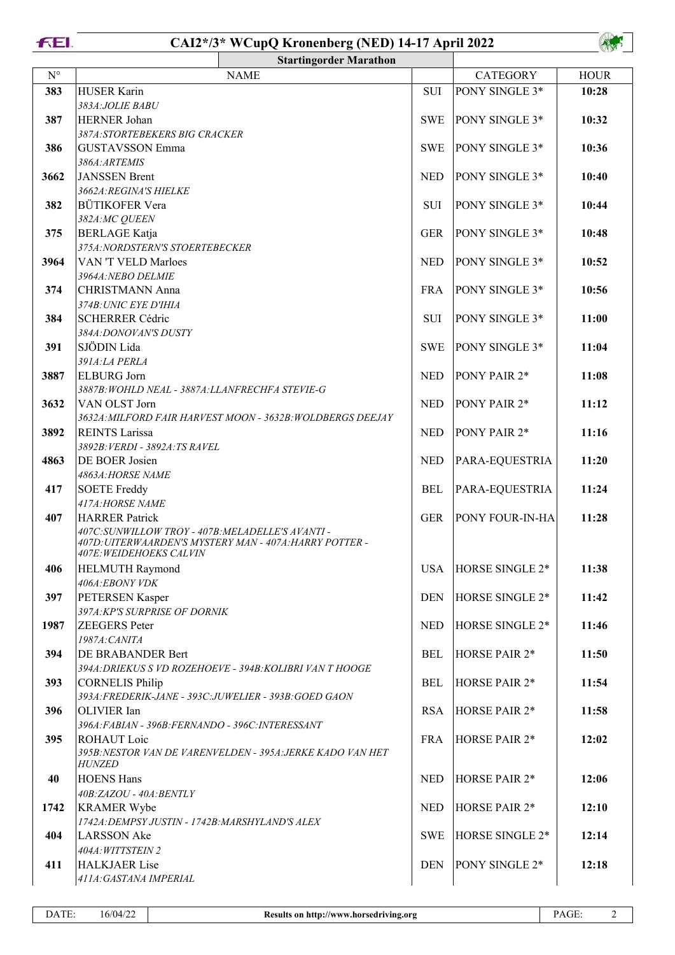**FEI.** 

## **CAI2\*/3\* WCupQ Kronenberg (NED) 14-17 April 2022**



|             |                                                                            | <b>Startingorder Marathon</b>                              |            |                        |             |
|-------------|----------------------------------------------------------------------------|------------------------------------------------------------|------------|------------------------|-------------|
| $N^{\circ}$ |                                                                            | <b>NAME</b>                                                |            | <b>CATEGORY</b>        | <b>HOUR</b> |
| 383         | <b>HUSER Karin</b>                                                         |                                                            | <b>SUI</b> | PONY SINGLE 3*         | 10:28       |
|             | 383A: JOLIE BABU                                                           |                                                            |            |                        |             |
| 387         | HERNER Johan                                                               |                                                            | <b>SWE</b> | PONY SINGLE 3*         | 10:32       |
|             | 387A:STORTEBEKERS BIG CRACKER                                              |                                                            |            |                        |             |
| 386         | <b>GUSTAVSSON Emma</b>                                                     |                                                            | <b>SWE</b> | PONY SINGLE 3*         | 10:36       |
|             | 386A: ARTEMIS                                                              |                                                            |            |                        |             |
| 3662        | <b>JANSSEN</b> Brent                                                       |                                                            | <b>NED</b> | PONY SINGLE 3*         | 10:40       |
|             | 3662A: REGINA'S HIELKE                                                     |                                                            |            |                        |             |
| 382         | <b>BÜTIKOFER Vera</b>                                                      |                                                            | SUI        | PONY SINGLE 3*         | 10:44       |
|             | 382A:MC QUEEN                                                              |                                                            |            |                        |             |
| 375         | <b>BERLAGE</b> Katja                                                       |                                                            | <b>GER</b> | PONY SINGLE 3*         | 10:48       |
|             | 375A:NORDSTERN'S STOERTEBECKER                                             |                                                            |            |                        |             |
| 3964        | VAN 'T VELD Marloes                                                        |                                                            | <b>NED</b> | PONY SINGLE 3*         | 10:52       |
| 374         | 3964A: NEBO DELMIE<br><b>CHRISTMANN Anna</b>                               |                                                            | <b>FRA</b> | PONY SINGLE 3*         | 10:56       |
|             | 374B: UNIC EYE D'IHIA                                                      |                                                            |            |                        |             |
| 384         | <b>SCHERRER Cédric</b>                                                     |                                                            | <b>SUI</b> | PONY SINGLE 3*         | 11:00       |
|             | 384A: DONOVAN'S DUSTY                                                      |                                                            |            |                        |             |
| 391         | SJÖDIN Lida                                                                |                                                            | <b>SWE</b> | PONY SINGLE 3*         | 11:04       |
|             | 391A:LA PERLA                                                              |                                                            |            |                        |             |
| 3887        | <b>ELBURG</b> Jorn                                                         |                                                            | <b>NED</b> | PONY PAIR 2*           | 11:08       |
|             | 3887B: WOHLD NEAL - 3887A: LLANFRECHFA STEVIE-G                            |                                                            |            |                        |             |
| 3632        | VAN OLST Jorn                                                              |                                                            | <b>NED</b> | PONY PAIR 2*           | 11:12       |
|             |                                                                            | 3632A: MILFORD FAIR HARVEST MOON - 3632B: WOLDBERGS DEEJAY |            |                        |             |
| 3892        | <b>REINTS Larissa</b>                                                      |                                                            | <b>NED</b> | PONY PAIR 2*           | 11:16       |
|             | 3892B: VERDI - 3892A: TS RAVEL                                             |                                                            |            |                        |             |
| 4863        | DE BOER Josien                                                             |                                                            | <b>NED</b> | PARA-EQUESTRIA         | 11:20       |
|             | 4863A: HORSE NAME                                                          |                                                            |            |                        |             |
| 417         | <b>SOETE Freddy</b>                                                        |                                                            | <b>BEL</b> | PARA-EQUESTRIA         | 11:24       |
|             | 417A: HORSE NAME                                                           |                                                            |            | <b>PONY FOUR-IN-HA</b> | 11:28       |
| 407         | <b>HARRER Patrick</b><br>407C: SUNWILLOW TROY - 407B: MELADELLE'S AVANTI - |                                                            | <b>GER</b> |                        |             |
|             |                                                                            | 407D: UITERWAARDEN'S MYSTERY MAN - 407A: HARRY POTTER -    |            |                        |             |
|             | 407E: WEIDEHOEKS CALVIN                                                    |                                                            |            |                        |             |
| 406         | <b>HELMUTH Raymond</b>                                                     |                                                            | <b>USA</b> | HORSE SINGLE 2*        | 11:38       |
|             | 406A:EBONY VDK                                                             |                                                            |            |                        |             |
| 397         | PETERSEN Kasper                                                            |                                                            | <b>DEN</b> | HORSE SINGLE 2*        | 11:42       |
|             | 397A:KP'S SURPRISE OF DORNIK<br><b>ZEEGERS</b> Peter                       |                                                            |            |                        |             |
| 1987        |                                                                            |                                                            | <b>NED</b> | HORSE SINGLE 2*        | 11:46       |
| 394         | 1987A: CANITA<br>DE BRABANDER Bert                                         |                                                            | <b>BEL</b> | HORSE PAIR 2*          | 11:50       |
|             |                                                                            | 394A: DRIEKUS S VD ROZEHOEVE - 394B: KOLIBRI VAN T HOOGE   |            |                        |             |
| 393         | <b>CORNELIS Philip</b>                                                     |                                                            | <b>BEL</b> | HORSE PAIR 2*          | 11:54       |
|             | 393A: FREDERIK-JANE - 393C: JUWELIER - 393B: GOED GAON                     |                                                            |            |                        |             |
| 396         | OLIVIER Ian                                                                |                                                            | <b>RSA</b> | HORSE PAIR 2*          | 11:58       |
|             | 396A: FABIAN - 396B: FERNANDO - 396C: INTERESSANT                          |                                                            |            |                        |             |
| 395         | ROHAUT Loic                                                                |                                                            | <b>FRA</b> | HORSE PAIR 2*          | 12:02       |
|             |                                                                            | 395B: NESTOR VAN DE VARENVELDEN - 395A: JERKE KADO VAN HET |            |                        |             |
|             | <b>HUNZED</b>                                                              |                                                            |            |                        |             |
| 40          | <b>HOENS Hans</b>                                                          |                                                            | <b>NED</b> | HORSE PAIR 2*          | 12:06       |
| 1742        | 40B:ZAZOU - 40A:BENTLY<br><b>KRAMER Wybe</b>                               |                                                            | <b>NED</b> | HORSE PAIR 2*          | 12:10       |
|             | 1742A: DEMPSY JUSTIN - 1742B: MARSHYLAND'S ALEX                            |                                                            |            |                        |             |
| 404         | <b>LARSSON</b> Ake                                                         |                                                            | <b>SWE</b> | HORSE SINGLE 2*        | 12:14       |
|             | 404A: WITTSTEIN 2                                                          |                                                            |            |                        |             |
| 411         | <b>HALKJAER Lise</b>                                                       |                                                            | <b>DEN</b> | PONY SINGLE 2*         | 12:18       |
|             | 411A: GASTANA IMPERIAL                                                     |                                                            |            |                        |             |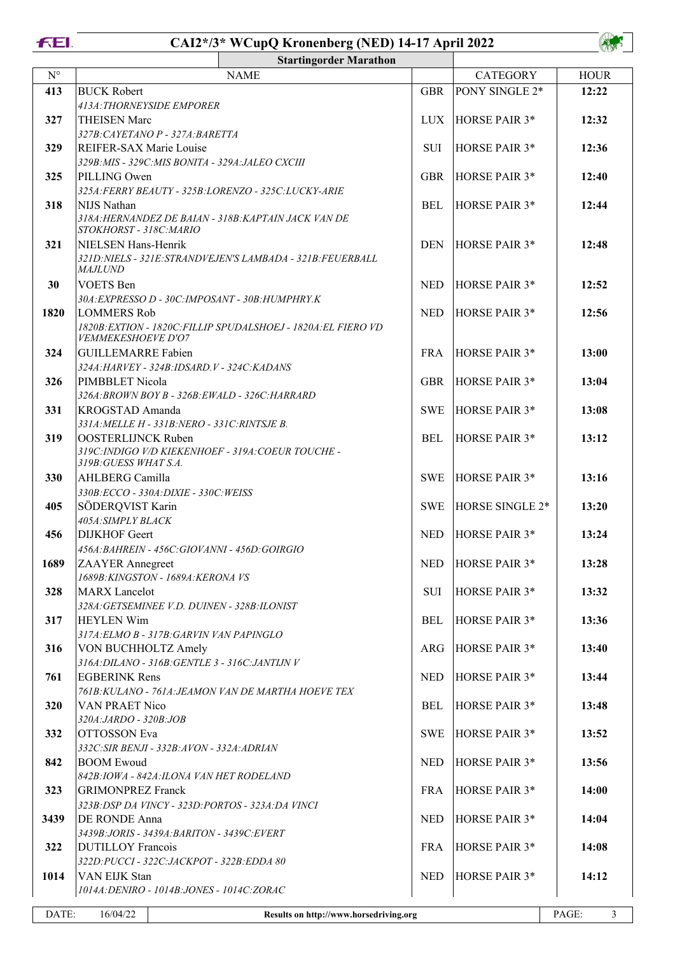**FEI.** 

## **CAI2\*/3\* WCupQ Kronenberg (NED) 14-17 April 2022**



|             |                                                                                | <b>Startingorder Marathon</b>                                  |            |                      |                         |
|-------------|--------------------------------------------------------------------------------|----------------------------------------------------------------|------------|----------------------|-------------------------|
| $N^{\circ}$ |                                                                                | <b>NAME</b>                                                    |            | <b>CATEGORY</b>      | <b>HOUR</b>             |
| 413         | <b>BUCK Robert</b>                                                             |                                                                | <b>GBR</b> | PONY SINGLE 2*       | 12:22                   |
|             | 413A: THORNEYSIDE EMPORER                                                      |                                                                |            |                      |                         |
| 327         | <b>THEISEN Marc</b>                                                            |                                                                | LUX        | <b>HORSE PAIR 3*</b> | 12:32                   |
|             | 327B: CAYETANO P - 327A: BARETTA                                               |                                                                |            |                      |                         |
| 329         | REIFER-SAX Marie Louise                                                        |                                                                | <b>SUI</b> | HORSE PAIR 3*        | 12:36                   |
|             | 329B: MIS - 329C: MIS BONITA - 329A: JALEO CXCIII                              |                                                                |            |                      |                         |
| 325         | PILLING Owen                                                                   |                                                                | <b>GBR</b> | HORSE PAIR 3*        | 12:40                   |
|             | 325A:FERRY BEAUTY - 325B:LORENZO - 325C:LUCKY-ARIE                             |                                                                |            |                      |                         |
| 318         | NIJS Nathan                                                                    |                                                                | <b>BEL</b> | <b>HORSE PAIR 3*</b> | 12:44                   |
|             | 318A: HERNANDEZ DE BAIAN - 318B: KAPTAIN JACK VAN DE<br>STOKHORST - 318C:MARIO |                                                                |            |                      |                         |
| 321         | NIELSEN Hans-Henrik                                                            |                                                                | <b>DEN</b> | HORSE PAIR 3*        | 12:48                   |
|             |                                                                                | 321D: NIELS - 321E: STRANDVEJEN'S LAMBADA - 321B: FEUERBALL    |            |                      |                         |
|             | <b>MAJLUND</b>                                                                 |                                                                |            |                      |                         |
| 30          | <b>VOETS</b> Ben                                                               |                                                                | <b>NED</b> | <b>HORSE PAIR 3*</b> | 12:52                   |
|             | 30A: EXPRESSO D - 30C: IMPOSANT - 30B: HUMPHRY.K                               |                                                                |            |                      |                         |
| 1820        | <b>LOMMERS Rob</b>                                                             |                                                                | <b>NED</b> | <b>HORSE PAIR 3*</b> | 12:56                   |
|             | <b>VEMMEKESHOEVE D'O7</b>                                                      | 1820B: EXTION - 1820C: FILLIP SPUDALSHOEJ - 1820A: EL FIERO VD |            |                      |                         |
| 324         | <b>GUILLEMARRE Fabien</b>                                                      |                                                                | <b>FRA</b> | <b>HORSE PAIR 3*</b> | 13:00                   |
|             | 324A: HARVEY - 324B: IDSARD. V - 324C: KADANS                                  |                                                                |            |                      |                         |
| 326         | PIMBBLET Nicola                                                                |                                                                | <b>GBR</b> | <b>HORSE PAIR 3*</b> | 13:04                   |
|             | 326A: BROWN BOY B - 326B: EWALD - 326C: HARRARD                                |                                                                |            |                      |                         |
| 331         | KROGSTAD Amanda                                                                |                                                                | <b>SWE</b> | <b>HORSE PAIR 3*</b> | 13:08                   |
|             | 331A: MELLE H - 331B: NERO - 331C: RINTSJE B.                                  |                                                                |            |                      |                         |
| 319         | <b>OOSTERLIJNCK Ruben</b>                                                      |                                                                | <b>BEL</b> | HORSE PAIR 3*        | 13:12                   |
|             | 319C: INDIGO V/D KIEKENHOEF - 319A: COEUR TOUCHE -                             |                                                                |            |                      |                         |
|             | 319B: GUESS WHAT S.A.                                                          |                                                                |            | HORSE PAIR 3*        |                         |
| 330         | <b>AHLBERG Camilla</b><br>330B:ECCO - 330A:DIXIE - 330C: WEISS                 |                                                                | <b>SWE</b> |                      | 13:16                   |
| 405         | SÖDERQVIST Karin                                                               |                                                                | <b>SWE</b> | HORSE SINGLE 2*      | 13:20                   |
|             | 405A: SIMPLY BLACK                                                             |                                                                |            |                      |                         |
| 456         | <b>DIJKHOF</b> Geert                                                           |                                                                | <b>NED</b> | <b>HORSE PAIR 3*</b> | 13:24                   |
|             | 456A: BAHREIN - 456C: GIOVANNI - 456D: GOIRGIO                                 |                                                                |            |                      |                         |
| 1689        | <b>ZAAYER</b> Annegreet                                                        |                                                                |            | NED  HORSE PAIR 3*   | 13:28                   |
|             | 1689B: KINGSTON - 1689A: KERONA VS                                             |                                                                |            |                      |                         |
| 328         | <b>MARX</b> Lancelot                                                           |                                                                | <b>SUI</b> | HORSE PAIR 3*        | 13:32                   |
|             | 328A: GETSEMINEE V.D. DUINEN - 328B: ILONIST                                   |                                                                |            |                      |                         |
| 317         | <b>HEYLEN Wim</b>                                                              |                                                                | <b>BEL</b> | HORSE PAIR 3*        | 13:36                   |
|             | 317A: ELMO B - 317B: GARVIN VAN PAPINGLO                                       |                                                                |            |                      |                         |
| 316         | VON BUCHHOLTZ Amely<br>316A: DILANO - 316B: GENTLE 3 - 316C: JANTIJN V         |                                                                | <b>ARG</b> | HORSE PAIR 3*        | 13:40                   |
| 761         | <b>EGBERINK Rens</b>                                                           |                                                                | <b>NED</b> | HORSE PAIR 3*        | 13:44                   |
|             | 761B: KULANO - 761A: JEAMON VAN DE MARTHA HOEVE TEX                            |                                                                |            |                      |                         |
| 320         | VAN PRAET Nico                                                                 |                                                                | <b>BEL</b> | HORSE PAIR 3*        | 13:48                   |
|             | 320A:JARDO - 320B:JOB                                                          |                                                                |            |                      |                         |
| 332         | OTTOSSON Eva                                                                   |                                                                | <b>SWE</b> | HORSE PAIR 3*        | 13:52                   |
|             | 332C: SIR BENJI - 332B: AVON - 332A: ADRIAN                                    |                                                                |            |                      |                         |
| 842         | <b>BOOM Ewoud</b>                                                              |                                                                | <b>NED</b> | HORSE PAIR 3*        | 13:56                   |
|             | 842B: IOWA - 842A: ILONA VAN HET RODELAND                                      |                                                                |            |                      |                         |
| 323         | <b>GRIMONPREZ Franck</b>                                                       |                                                                | <b>FRA</b> | HORSE PAIR 3*        | 14:00                   |
|             | 323B: DSP DA VINCY - 323D: PORTOS - 323A: DA VINCI                             |                                                                |            |                      |                         |
| 3439        | DE RONDE Anna                                                                  |                                                                | <b>NED</b> | HORSE PAIR 3*        | 14:04                   |
| 322         | 3439B: JORIS - 3439A: BARITON - 3439C: EVERT<br><b>DUTILLOY Francois</b>       |                                                                | <b>FRA</b> | HORSE PAIR 3*        | 14:08                   |
|             | 322D: РUCCI - 322С: ЈАСКРОТ - 322В: ЕDDA 80                                    |                                                                |            |                      |                         |
| 1014        | VAN EIJK Stan                                                                  |                                                                | <b>NED</b> | HORSE PAIR 3*        | 14:12                   |
|             | 1014A: DENIRO - 1014B: JONES - 1014C: ZORAC                                    |                                                                |            |                      |                         |
|             |                                                                                |                                                                |            |                      |                         |
| DATE:       | 16/04/22                                                                       | Results on http://www.horsedriving.org                         |            |                      | PAGE:<br>$\mathfrak{Z}$ |